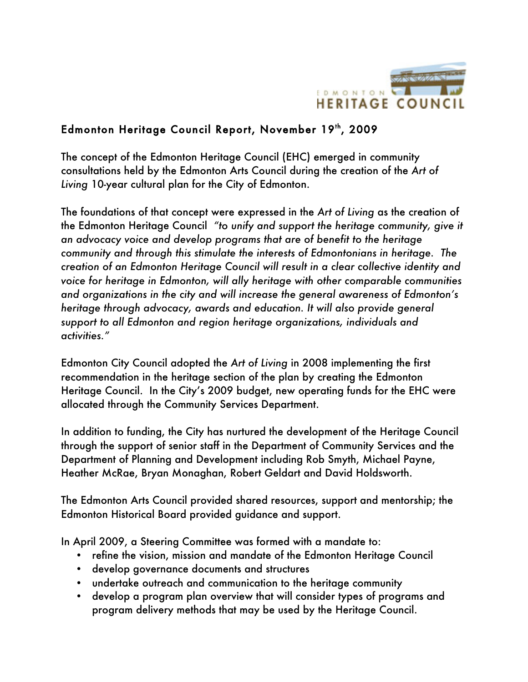

## Edmonton Heritage Council Report, November 19th, 2009

The concept of the Edmonton Heritage Council (EHC) emerged in community consultations held by the Edmonton Arts Council during the creation of the *Art of Living* 10-year cultural plan for the City of Edmonton.

The foundations of that concept were expressed in the *Art of Living* as the creation of the Edmonton Heritage Council *"to unify and support the heritage community, give it an advocacy voice and develop programs that are of benefit to the heritage community and through this stimulate the interests of Edmontonians in heritage. The creation of an Edmonton Heritage Council will result in a clear collective identity and voice for heritage in Edmonton, will ally heritage with other comparable communities and organizations in the city and will increase the general awareness of Edmonton's heritage through advocacy, awards and education. It will also provide general support to all Edmonton and region heritage organizations, individuals and activities."*

Edmonton City Council adopted the *Art of Living* in 2008 implementing the first recommendation in the heritage section of the plan by creating the Edmonton Heritage Council. In the City's 2009 budget, new operating funds for the EHC were allocated through the Community Services Department.

In addition to funding, the City has nurtured the development of the Heritage Council through the support of senior staff in the Department of Community Services and the Department of Planning and Development including Rob Smyth, Michael Payne, Heather McRae, Bryan Monaghan, Robert Geldart and David Holdsworth.

The Edmonton Arts Council provided shared resources, support and mentorship; the Edmonton Historical Board provided guidance and support.

In April 2009, a Steering Committee was formed with a mandate to:

- refine the vision, mission and mandate of the Edmonton Heritage Council
- develop governance documents and structures
- undertake outreach and communication to the heritage community
- develop a program plan overview that will consider types of programs and program delivery methods that may be used by the Heritage Council.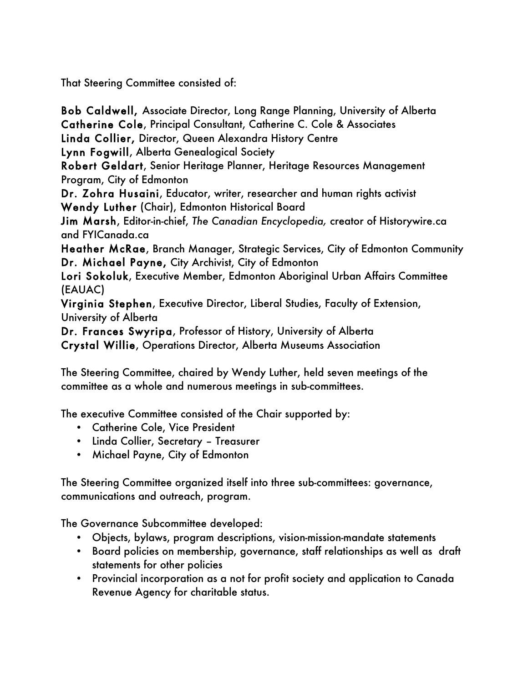That Steering Committee consisted of:

Bob Caldwell, Associate Director, Long Range Planning, University of Alberta Catherine Cole, Principal Consultant, Catherine C. Cole & Associates Linda Collier, Director, Queen Alexandra History Centre Lynn Fogwill, Alberta Genealogical Society Robert Geldart, Senior Heritage Planner, Heritage Resources Management Program, City of Edmonton Dr. Zohra Husaini, Educator, writer, researcher and human rights activist Wendy Luther (Chair), Edmonton Historical Board Jim Marsh, Editor-in-chief, *The Canadian Encyclopedia,* creator of Historywire.ca and FYICanada.ca Heather McRae, Branch Manager, Strategic Services, City of Edmonton Community Dr. Michael Payne, City Archivist, City of Edmonton Lori Sokoluk, Executive Member, Edmonton Aboriginal Urban Affairs Committee (EAUAC) Virginia Stephen, Executive Director, Liberal Studies, Faculty of Extension, University of Alberta Dr. Frances Swyripa, Professor of History, University of Alberta

Crystal Willie, Operations Director, Alberta Museums Association

The Steering Committee, chaired by Wendy Luther, held seven meetings of the committee as a whole and numerous meetings in sub-committees.

The executive Committee consisted of the Chair supported by:

- Catherine Cole, Vice President
- Linda Collier, Secretary Treasurer
- Michael Payne, City of Edmonton

The Steering Committee organized itself into three sub-committees: governance, communications and outreach, program.

The Governance Subcommittee developed:

- Objects, bylaws, program descriptions, vision-mission-mandate statements
- Board policies on membership, governance, staff relationships as well as draft statements for other policies
- Provincial incorporation as a not for profit society and application to Canada Revenue Agency for charitable status.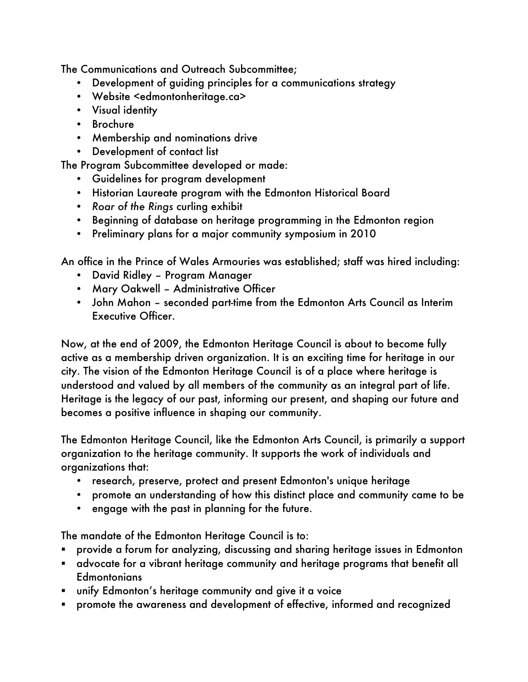The Communications and Outreach Subcommittee;

- Development of guiding principles for a communications strategy
- Website <edmontonheritage.ca>
- Visual identity
- Brochure
- Membership and nominations drive
- Development of contact list

The Program Subcommittee developed or made:

- Guidelines for program development
- Historian Laureate program with the Edmonton Historical Board
- *Roar of the Rings* curling exhibit
- Beginning of database on heritage programming in the Edmonton region
- Preliminary plans for a major community symposium in 2010

An office in the Prince of Wales Armouries was established; staff was hired including:

- David Ridley Program Manager
- Mary Oakwell Administrative Officer
- John Mahon seconded part-time from the Edmonton Arts Council as Interim Executive Officer.

Now, at the end of 2009, the Edmonton Heritage Council is about to become fully active as a membership driven organization. It is an exciting time for heritage in our city. The vision of the Edmonton Heritage Council is of a place where heritage is understood and valued by all members of the community as an integral part of life. Heritage is the legacy of our past, informing our present, and shaping our future and becomes a positive influence in shaping our community.

The Edmonton Heritage Council, like the Edmonton Arts Council, is primarily a support organization to the heritage community. It supports the work of individuals and organizations that:

- research, preserve, protect and present Edmonton's unique heritage
- promote an understanding of how this distinct place and community came to be
- engage with the past in planning for the future.

The mandate of the Edmonton Heritage Council is to:

- provide a forum for analyzing, discussing and sharing heritage issues in Edmonton
- advocate for a vibrant heritage community and heritage programs that benefit all **Edmontonians**
- unify Edmonton's heritage community and give it a voice
- promote the awareness and development of effective, informed and recognized